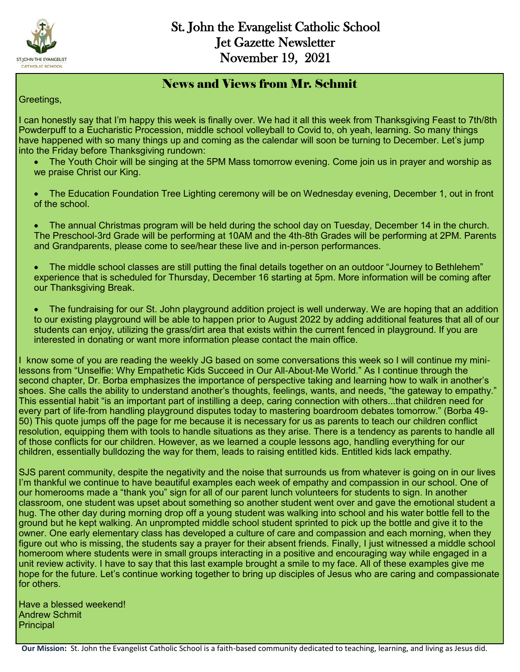

#### News and Views from Mr. Schmit

Greetings,

I can honestly say that I'm happy this week is finally over. We had it all this week from Thanksgiving Feast to 7th/8th Powderpuff to a Eucharistic Procession, middle school volleyball to Covid to, oh yeah, learning. So many things have happened with so many things up and coming as the calendar will soon be turning to December. Let's jump into the Friday before Thanksgiving rundown:

- The Youth Choir will be singing at the 5PM Mass tomorrow evening. Come join us in prayer and worship as we praise Christ our King.
- The Education Foundation Tree Lighting ceremony will be on Wednesday evening, December 1, out in front of the school.

 The annual Christmas program will be held during the school day on Tuesday, December 14 in the church. The Preschool-3rd Grade will be performing at 10AM and the 4th-8th Grades will be performing at 2PM. Parents and Grandparents, please come to see/hear these live and in-person performances.

 The middle school classes are still putting the final details together on an outdoor "Journey to Bethlehem" experience that is scheduled for Thursday, December 16 starting at 5pm. More information will be coming after our Thanksgiving Break.

 The fundraising for our St. John playground addition project is well underway. We are hoping that an addition to our existing playground will be able to happen prior to August 2022 by adding additional features that all of our students can enjoy, utilizing the grass/dirt area that exists within the current fenced in playground. If you are interested in donating or want more information please contact the main office.

I know some of you are reading the weekly JG based on some conversations this week so I will continue my minilessons from "Unselfie: Why Empathetic Kids Succeed in Our All-About-Me World." As I continue through the second chapter, Dr. Borba emphasizes the importance of perspective taking and learning how to walk in another's shoes. She calls the ability to understand another's thoughts, feelings, wants, and needs, "the gateway to empathy." This essential habit "is an important part of instilling a deep, caring connection with others...that children need for every part of life-from handling playground disputes today to mastering boardroom debates tomorrow." (Borba 49- 50) This quote jumps off the page for me because it is necessary for us as parents to teach our children conflict resolution, equipping them with tools to handle situations as they arise. There is a tendency as parents to handle all of those conflicts for our children. However, as we learned a couple lessons ago, handling everything for our children, essentially bulldozing the way for them, leads to raising entitled kids. Entitled kids lack empathy.

SJS parent community, despite the negativity and the noise that surrounds us from whatever is going on in our lives I'm thankful we continue to have beautiful examples each week of empathy and compassion in our school. One of our homerooms made a "thank you" sign for all of our parent lunch volunteers for students to sign. In another classroom, one student was upset about something so another student went over and gave the emotional student a hug. The other day during morning drop off a young student was walking into school and his water bottle fell to the ground but he kept walking. An unprompted middle school student sprinted to pick up the bottle and give it to the owner. One early elementary class has developed a culture of care and compassion and each morning, when they figure out who is missing, the students say a prayer for their absent friends. Finally, I just witnessed a middle school homeroom where students were in small groups interacting in a positive and encouraging way while engaged in a unit review activity. I have to say that this last example brought a smile to my face. All of these examples give me hope for the future. Let's continue working together to bring up disciples of Jesus who are caring and compassionate for others.

Have a blessed weekend! Andrew Schmit **Principal**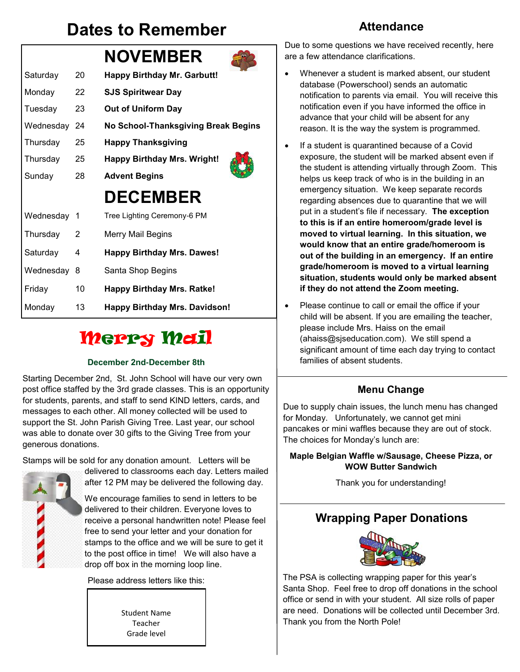## **Dates to Remember**



# **Merry Mail**

#### **December 2nd-December 8th**

Starting December 2nd, St. John School will have our very own post office staffed by the 3rd grade classes. This is an opportunity for students, parents, and staff to send KIND letters, cards, and messages to each other. All money collected will be used to support the St. John Parish Giving Tree. Last year, our school was able to donate over 30 gifts to the Giving Tree from your generous donations.

Stamps will be sold for any donation amount. Letters will be



delivered to classrooms each day. Letters mailed after 12 PM may be delivered the following day.

We encourage families to send in letters to be delivered to their children. Everyone loves to receive a personal handwritten note! Please feel free to send your letter and your donation for stamps to the office and we will be sure to get it to the post office in time! We will also have a drop off box in the morning loop line.

Please address letters like this:

Student Name Teacher Grade level

### **Attendance**

Due to some questions we have received recently, here are a few attendance clarifications.

- Whenever a student is marked absent, our student database (Powerschool) sends an automatic notification to parents via email. You will receive this notification even if you have informed the office in advance that your child will be absent for any reason. It is the way the system is programmed.
- If a student is quarantined because of a Covid exposure, the student will be marked absent even if the student is attending virtually through Zoom. This helps us keep track of who is in the building in an emergency situation. We keep separate records regarding absences due to quarantine that we will put in a student's file if necessary. **The exception to this is if an entire homeroom/grade level is moved to virtual learning. In this situation, we would know that an entire grade/homeroom is out of the building in an emergency. If an entire grade/homeroom is moved to a virtual learning situation, students would only be marked absent if they do not attend the Zoom meeting.**
- Please continue to call or email the office if your child will be absent. If you are emailing the teacher, please include Mrs. Haiss on the email (ahaiss@sjseducation.com). We still spend a significant amount of time each day trying to contact families of absent students.

### **Menu Change**

Due to supply chain issues, the lunch menu has changed for Monday. Unfortunately, we cannot get mini pancakes or mini waffles because they are out of stock. The choices for Monday's lunch are:

#### **Maple Belgian Waffle w/Sausage, Cheese Pizza, or WOW Butter Sandwich**

Thank you for understanding!

## **Wrapping Paper Donations**



The PSA is collecting wrapping paper for this year's Santa Shop. Feel free to drop off donations in the school office or send in with your student. All size rolls of paper are need. Donations will be collected until December 3rd. Thank you from the North Pole!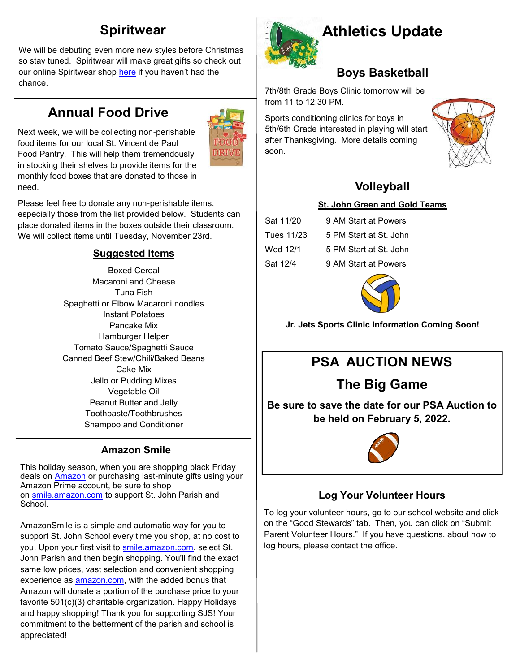## **Spiritwear**

We will be debuting even more new styles before Christmas so stay tuned. Spiritwear will make great gifts so check out our online Spiritwear shop [here](https://st-john-the-evangelist-catholic-spirit-wear.square.site/) if you haven't had the chance.

## **Annual Food Drive**

Next week, we will be collecting non-perishable food items for our local St. Vincent de Paul Food Pantry. This will help them tremendously in stocking their shelves to provide items for the monthly food boxes that are donated to those in need.



Please feel free to donate any non-perishable items, especially those from the list provided below. Students can place donated items in the boxes outside their classroom. We will collect items until Tuesday, November 23rd.

#### **Suggested Items**

Boxed Cereal Macaroni and Cheese Tuna Fish Spaghetti or Elbow Macaroni noodles Instant Potatoes Pancake Mix Hamburger Helper Tomato Sauce/Spaghetti Sauce Canned Beef Stew/Chili/Baked Beans Cake Mix Jello or Pudding Mixes Vegetable Oil Peanut Butter and Jelly Toothpaste/Toothbrushes Shampoo and Conditioner

#### **Amazon Smile**

This holiday season, when you are shopping black Friday deals on **[Amazon](http://www.chicagotribune.com/topic/business/amazon.com-ORCRP000672-topic.html)** or purchasing last-minute gifts using your Amazon Prime account, be sure to shop on [smile.amazon.com](http://smile.amazon.com/) to support St. John Parish and School.

AmazonSmile is a simple and automatic way for you to support St. John School every time you shop, at no cost to you. Upon your first visit to [smile.amazon.com,](http://smile.amazon.com/) select St. John Parish and then begin shopping. You'll find the exact same low prices, vast selection and convenient shopping experience as [amazon.com,](http://amazon.com/) with the added bonus that Amazon will donate a portion of the purchase price to your favorite 501(c)(3) charitable organization. Happy Holidays and happy shopping! Thank you for supporting SJS! Your commitment to the betterment of the parish and school is appreciated!



## **Athletics Update**

### **Boys Basketball**

7th/8th Grade Boys Clinic tomorrow will be from 11 to 12:30 PM.

Sports conditioning clinics for boys in 5th/6th Grade interested in playing will start after Thanksgiving. More details coming soon.



## **Volleyball**

#### **St. John Green and Gold Teams**

| Sat 11/20  | 9 AM Start at Powers   |
|------------|------------------------|
| Tues 11/23 | 5 PM Start at St. John |
| Wed 12/1   | 5 PM Start at St. John |
| Sat 12/4   | 9 AM Start at Powers   |



**Jr. Jets Sports Clinic Information Coming Soon!** 

## **PSA AUCTION NEWS**

## **The Big Game**

**Be sure to save the date for our PSA Auction to be held on February 5, 2022.** 



### **Log Your Volunteer Hours**

To log your volunteer hours, go to our school website and click on the "Good Stewards" tab. Then, you can click on "Submit Parent Volunteer Hours." If you have questions, about how to log hours, please contact the office.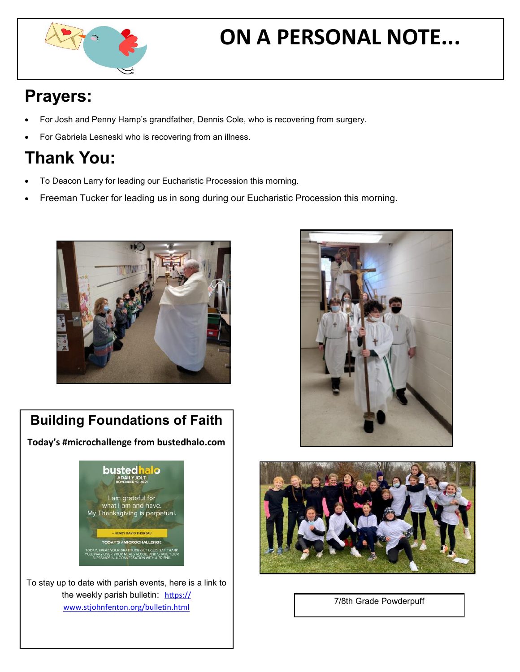

# **ON A PERSONAL NOTE...**

# **Prayers:**

- For Josh and Penny Hamp's grandfather, Dennis Cole, who is recovering from surgery.
- For Gabriela Lesneski who is recovering from an illness.

# **Thank You:**

- To Deacon Larry for leading our Eucharistic Procession this morning.
- Freeman Tucker for leading us in song during our Eucharistic Procession this morning.



## **Building Foundations of Faith**

**Today's #microchallenge from bustedhalo.com**



To stay up to date with parish events, here is a link to the weekly parish bulletin: [https://](https://www.stjohnfenton.org/bulletin.html) [www.stjohnfenton.org/bulletin.html](https://www.stjohnfenton.org/bulletin.html) 





7/8th Grade Powderpuff